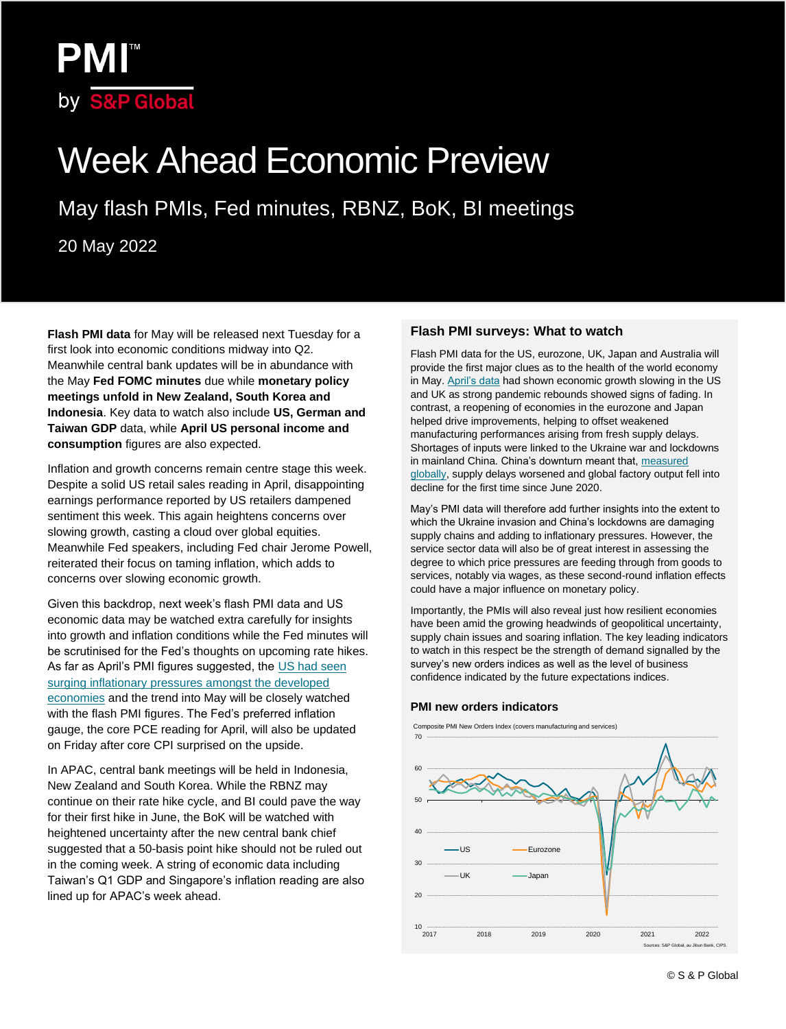

# Week Ahead Economic Preview

May flash PMIs, Fed minutes, RBNZ, BoK, BI meetings

20 May 2022

**Flash PMI data** for May will be released next Tuesday for a first look into economic conditions midway into Q2. Meanwhile central bank updates will be in abundance with the May **Fed FOMC minutes** due while **monetary policy meetings unfold in New Zealand, South Korea and Indonesia**. Key data to watch also include **US, German and Taiwan GDP** data, while **April US personal income and consumption** figures are also expected.

Inflation and growth concerns remain centre stage this week. Despite a solid US retail sales reading in April, disappointing earnings performance reported by US retailers dampened sentiment this week. This again heightens concerns over slowing growth, casting a cloud over global equities. Meanwhile Fed speakers, including Fed chair Jerome Powell, reiterated their focus on taming inflation, which adds to concerns over slowing economic growth.

Given this backdrop, next week's flash PMI data and US economic data may be watched extra carefully for insights into growth and inflation conditions while the Fed minutes will be scrutinised for the Fed's thoughts on upcoming rate hikes. As far as April's PMI figures suggested, the US had seen [surging inflationary pressures amongst the developed](https://ihsmarkit.com/research-analysis/global-pmi-surveys-show-further-acceleration-of-inflation-amid-supply-shocks-in-april-but-demand-shows-signs-of-waning-May22.html)  [economies](https://ihsmarkit.com/research-analysis/global-pmi-surveys-show-further-acceleration-of-inflation-amid-supply-shocks-in-april-but-demand-shows-signs-of-waning-May22.html) and the trend into May will be closely watched with the flash PMI figures. The Fed's preferred inflation gauge, the core PCE reading for April, will also be updated on Friday after core CPI surprised on the upside.

In APAC, central bank meetings will be held in Indonesia, New Zealand and South Korea. While the RBNZ may continue on their rate hike cycle, and BI could pave the way for their first hike in June, the BoK will be watched with heightened uncertainty after the new central bank chief suggested that a 50-basis point hike should not be ruled out in the coming week. A string of economic data including Taiwan's Q1 GDP and Singapore's inflation reading are also lined up for APAC's week ahead.

#### **Flash PMI surveys: What to watch**

Flash PMI data for the US, eurozone, UK, Japan and Australia will provide the first major clues as to the health of the world economy in May. [April's data](https://ihsmarkit.com/research-analysis/further-surge-in-price-pressures-in-april-casts-mounting-shadow-over-growth-outlook-Apr22.html) had shown economic growth slowing in the US and UK as strong pandemic rebounds showed signs of fading. In contrast, a reopening of economies in the eurozone and Japan helped drive improvements, helping to offset weakened manufacturing performances arising from fresh supply delays. Shortages of inputs were linked to the Ukraine war and lockdowns in mainland China. China's downturn meant that, measured [globally,](https://ihsmarkit.com/research-analysis/worldwide-factory-output-falls-for-first-time-since-june-2020-as-supply-conditions-worsen-May22.html) supply delays worsened and global factory output fell into decline for the first time since June 2020.

May's PMI data will therefore add further insights into the extent to which the Ukraine invasion and China's lockdowns are damaging supply chains and adding to inflationary pressures. However, the service sector data will also be of great interest in assessing the degree to which price pressures are feeding through from goods to services, notably via wages, as these second-round inflation effects could have a major influence on monetary policy.

Importantly, the PMIs will also reveal just how resilient economies have been amid the growing headwinds of geopolitical uncertainty, supply chain issues and soaring inflation. The key leading indicators to watch in this respect be the strength of demand signalled by the survey's new orders indices as well as the level of business confidence indicated by the future expectations indices.

#### **PMI new orders indicators**



Composite PMI New Orders Index (covers manufacturing and services)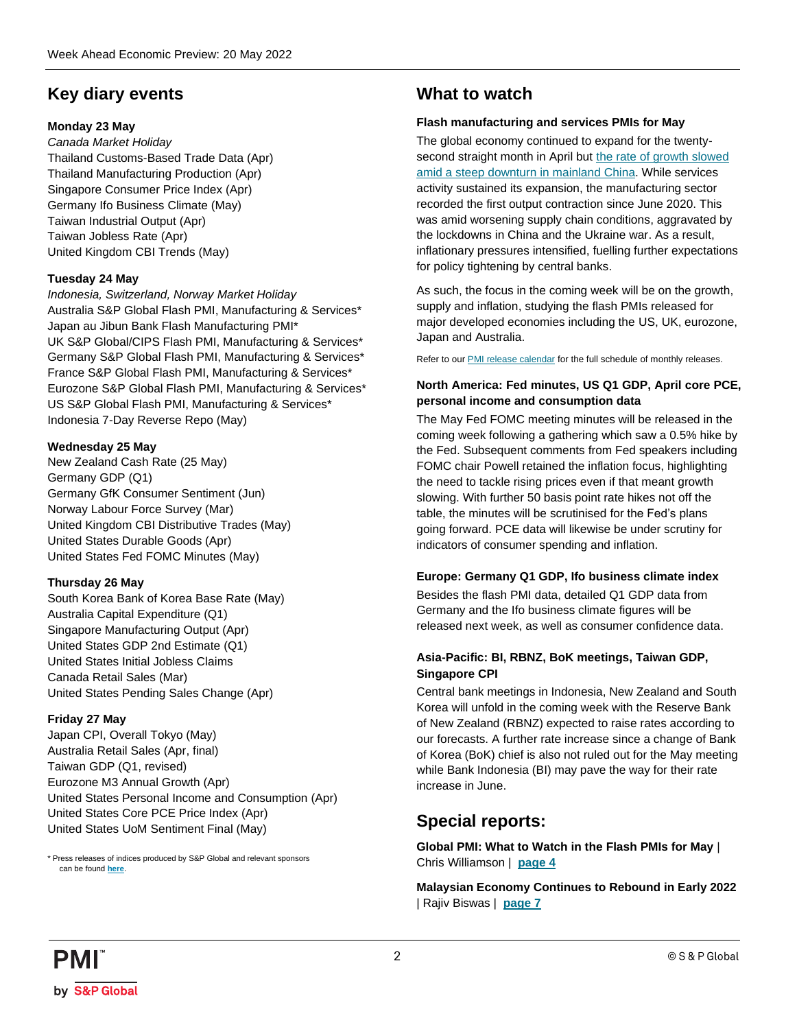## **Key diary events**

#### **Monday 23 May**

*Canada Market Holiday* Thailand Customs-Based Trade Data (Apr) Thailand Manufacturing Production (Apr) Singapore Consumer Price Index (Apr) Germany Ifo Business Climate (May) Taiwan Industrial Output (Apr) Taiwan Jobless Rate (Apr) United Kingdom CBI Trends (May)

#### **Tuesday 24 May**

*Indonesia, Switzerland, Norway Market Holiday* Australia S&P Global Flash PMI, Manufacturing & Services\* Japan au Jibun Bank Flash Manufacturing PMI\* UK S&P Global/CIPS Flash PMI, Manufacturing & Services\* Germany S&P Global Flash PMI, Manufacturing & Services\* France S&P Global Flash PMI, Manufacturing & Services\* Eurozone S&P Global Flash PMI, Manufacturing & Services\* US S&P Global Flash PMI, Manufacturing & Services\* Indonesia 7-Day Reverse Repo (May)

#### **Wednesday 25 May**

New Zealand Cash Rate (25 May) Germany GDP (Q1) Germany GfK Consumer Sentiment (Jun) Norway Labour Force Survey (Mar) United Kingdom CBI Distributive Trades (May) United States Durable Goods (Apr) United States Fed FOMC Minutes (May)

#### **Thursday 26 May**

South Korea Bank of Korea Base Rate (May) Australia Capital Expenditure (Q1) Singapore Manufacturing Output (Apr) United States GDP 2nd Estimate (Q1) United States Initial Jobless Claims Canada Retail Sales (Mar) United States Pending Sales Change (Apr)

#### **Friday 27 May**

Japan CPI, Overall Tokyo (May) Australia Retail Sales (Apr, final) Taiwan GDP (Q1, revised) Eurozone M3 Annual Growth (Apr) United States Personal Income and Consumption (Apr) United States Core PCE Price Index (Apr) United States UoM Sentiment Final (May)

\* Press releases of indices produced by S&P Global and relevant sponsors can be found **[here](https://www.markiteconomics.com/Public/Release/PressReleases)**.

## **What to watch**

#### **Flash manufacturing and services PMIs for May**

The global economy continued to expand for the twentysecond straight month in April bu[t the rate of growth slowed](https://ihsmarkit.com/research-analysis/monthly-pmi-bulletin-may-2022.html) [amid a steep downturn in mainland China.](https://ihsmarkit.com/research-analysis/monthly-pmi-bulletin-may-2022.html) While services activity sustained its expansion, the manufacturing sector recorded the first output contraction since June 2020. This was amid worsening supply chain conditions, aggravated by the lockdowns in China and the Ukraine war. As a result, inflationary pressures intensified, fuelling further expectations for policy tightening by central banks.

As such, the focus in the coming week will be on the growth, supply and inflation, studying the flash PMIs released for major developed economies including the US, UK, eurozone, Japan and Australia.

Refer to our **PMI** release calendar for the full schedule of monthly releases.

#### **North America: Fed minutes, US Q1 GDP, April core PCE, personal income and consumption data**

The May Fed FOMC meeting minutes will be released in the coming week following a gathering which saw a 0.5% hike by the Fed. Subsequent comments from Fed speakers including FOMC chair Powell retained the inflation focus, highlighting the need to tackle rising prices even if that meant growth slowing. With further 50 basis point rate hikes not off the table, the minutes will be scrutinised for the Fed's plans going forward. PCE data will likewise be under scrutiny for indicators of consumer spending and inflation.

#### **Europe: Germany Q1 GDP, Ifo business climate index**

Besides the flash PMI data, detailed Q1 GDP data from Germany and the Ifo business climate figures will be released next week, as well as consumer confidence data.

#### **Asia-Pacific: BI, RBNZ, BoK meetings, Taiwan GDP, Singapore CPI**

Central bank meetings in Indonesia, New Zealand and South Korea will unfold in the coming week with the Reserve Bank of New Zealand (RBNZ) expected to raise rates according to our forecasts. A further rate increase since a change of Bank of Korea (BoK) chief is also not ruled out for the May meeting while Bank Indonesia (BI) may pave the way for their rate increase in June.

## **Special reports:**

**Global PMI: What to Watch in the Flash PMIs for May** | Chris Williamson | **[page 4](#page-3-0)**

**Malaysian Economy Continues to Rebound in Early 2022** | Rajiv Biswas | **[page 7](#page-6-0)**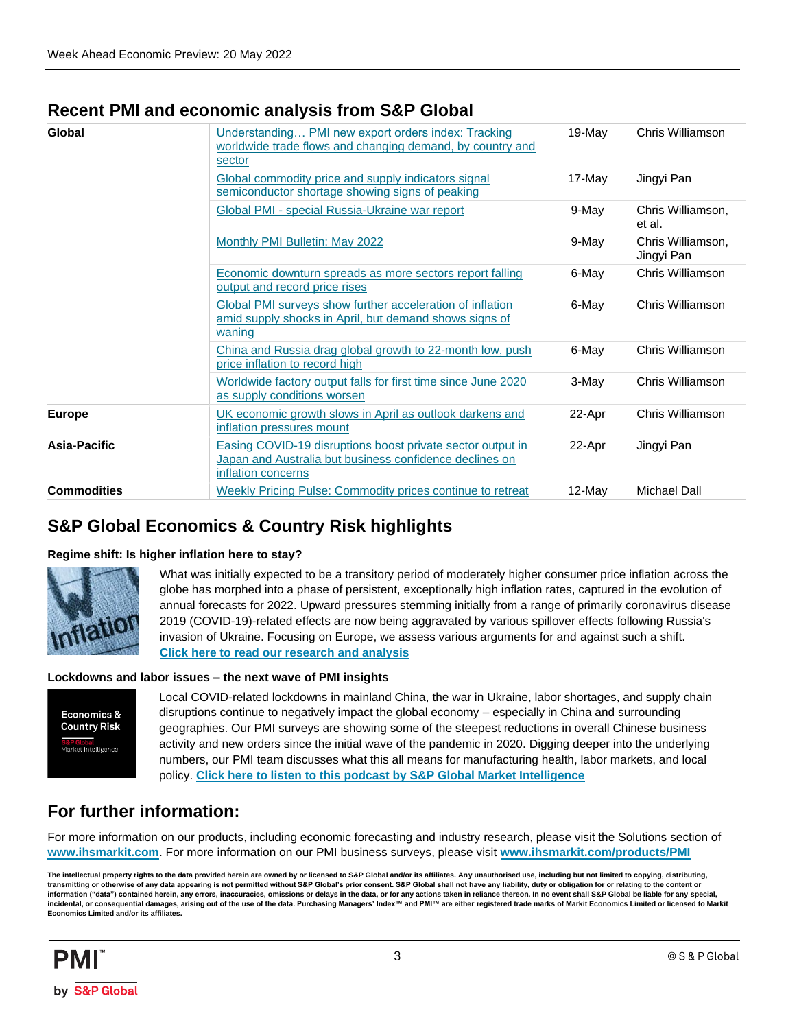## **Recent PMI and economic analysis from S&P Global**

| Global             | Understanding PMI new export orders index: Tracking<br>worldwide trade flows and changing demand, by country and<br>sector                  | 19-May    | Chris Williamson                |
|--------------------|---------------------------------------------------------------------------------------------------------------------------------------------|-----------|---------------------------------|
|                    | Global commodity price and supply indicators signal<br>semiconductor shortage showing signs of peaking                                      | 17-May    | Jingyi Pan                      |
|                    | Global PMI - special Russia-Ukraine war report                                                                                              | 9-May     | Chris Williamson,<br>et al.     |
|                    | Monthly PMI Bulletin: May 2022                                                                                                              | 9-May     | Chris Williamson,<br>Jingyi Pan |
|                    | Economic downturn spreads as more sectors report falling<br>output and record price rises                                                   | 6-May     | Chris Williamson                |
|                    | Global PMI surveys show further acceleration of inflation<br>amid supply shocks in April, but demand shows signs of<br>waning               | 6-May     | Chris Williamson                |
|                    | China and Russia drag global growth to 22-month low, push<br>price inflation to record high                                                 | 6-May     | Chris Williamson                |
|                    | Worldwide factory output falls for first time since June 2020<br>as supply conditions worsen                                                | 3-May     | Chris Williamson                |
| <b>Europe</b>      | UK economic growth slows in April as outlook darkens and<br>inflation pressures mount                                                       | 22-Apr    | Chris Williamson                |
| Asia-Pacific       | Easing COVID-19 disruptions boost private sector output in<br>Japan and Australia but business confidence declines on<br>inflation concerns | 22-Apr    | Jingyi Pan                      |
| <b>Commodities</b> | Weekly Pricing Pulse: Commodity prices continue to retreat                                                                                  | $12$ -May | <b>Michael Dall</b>             |

## **S&P Global Economics & Country Risk highlights**

#### **Regime shift: Is higher inflation here to stay?**



What was initially expected to be a transitory period of moderately higher consumer price inflation across the globe has morphed into a phase of persistent, exceptionally high inflation rates, captured in the evolution of annual forecasts for 2022. Upward pressures stemming initially from a range of primarily coronavirus disease 2019 (COVID-19)-related effects are now being aggravated by various spillover effects following Russia's invasion of Ukraine. Focusing on Europe, we assess various arguments for and against such a shift. **[Click here to read our research and analysis](https://ihsmarkit.com/research-analysis/regime-shift-is-higher-inflation-here-to-stay.html)**

#### **Lockdowns and labor issues – the next wave of PMI insights**



Local COVID-related lockdowns in mainland China, the war in Ukraine, labor shortages, and supply chain disruptions continue to negatively impact the global economy – especially in China and surrounding geographies. Our PMI surveys are showing some of the steepest reductions in overall Chinese business activity and new orders since the initial wave of the pandemic in 2020. Digging deeper into the underlying numbers, our PMI team discusses what this all means for manufacturing health, labor markets, and local policy. **[Click here to listen to this podcast by S&P Global Market Intelligence](https://soundcloud.com/user-181651373/lockdowns-and-labor-issues-the-next-wave-of-pmi-insights)**

## **For further information:**

For more information on our products, including economic forecasting and industry research, please visit the Solutions section of **[www.ihsmarkit.com](http://www.ihsmarkit.com/)**. For more information on our PMI business surveys, please visit **[www.ihsmarkit.com/products/PMI](http://www.ihsmarkit.com/products/PMI)**

The intellectual property rights to the data provided herein are owned by or licensed to S&P Global and/or its affiliates. Any unauthorised use, including but not limited to copying, distributing, **transmitting or otherwise of any data appearing is not permitted without S&P Global's prior consent. S&P Global shall not have any liability, duty or obligation for or relating to the content or**  information ("data") contained herein, any errors, inaccuracies, omissions or delays in the data, or for any actions taken in reliance thereon. In no event shall S&P Global be liable for any special, incidental, or consequential damages, arising out of the use of the data. Purchasing Managers' Index™ and PMI™ are either registered trade marks of Markit Economics Limited or licensed to Markit **Economics Limited and/or its affiliates.**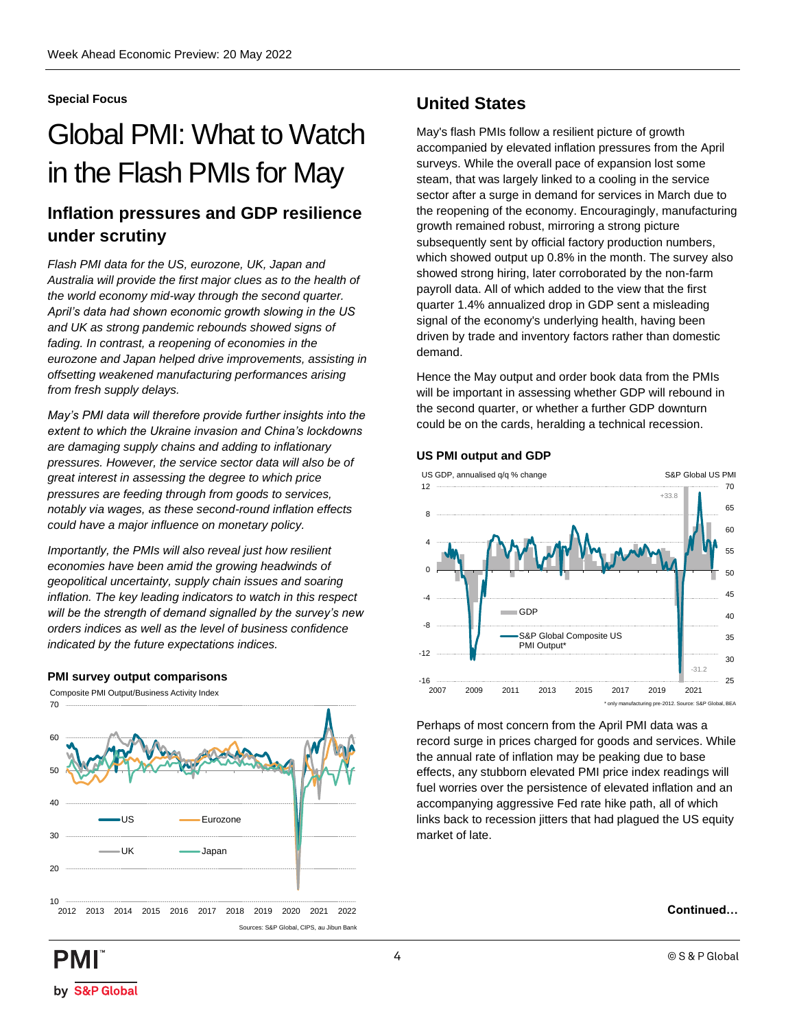#### <span id="page-3-0"></span>**Special Focus**

## Global PMI: What to Watch in the Flash PMIs for May

## **Inflation pressures and GDP resilience under scrutiny**

*Flash PMI data for the US, eurozone, UK, Japan and Australia will provide the first major clues as to the health of the world economy mid-way through the second quarter. April's data had shown economic growth slowing in the US and UK as strong pandemic rebounds showed signs of fading. In contrast, a reopening of economies in the eurozone and Japan helped drive improvements, assisting in offsetting weakened manufacturing performances arising from fresh supply delays.* 

*May's PMI data will therefore provide further insights into the extent to which the Ukraine invasion and China's lockdowns are damaging supply chains and adding to inflationary pressures. However, the service sector data will also be of great interest in assessing the degree to which price pressures are feeding through from goods to services, notably via wages, as these second-round inflation effects could have a major influence on monetary policy.* 

*Importantly, the PMIs will also reveal just how resilient economies have been amid the growing headwinds of geopolitical uncertainty, supply chain issues and soaring inflation. The key leading indicators to watch in this respect will be the strength of demand signalled by the survey's new orders indices as well as the level of business confidence indicated by the future expectations indices.*

#### **PMI survey output comparisons**

Composite PMI Output/Business Activity Index



## **United States**

May's flash PMIs follow a resilient picture of growth accompanied by elevated inflation pressures from the April surveys. While the overall pace of expansion lost some steam, that was largely linked to a cooling in the service sector after a surge in demand for services in March due to the reopening of the economy. Encouragingly, manufacturing growth remained robust, mirroring a strong picture subsequently sent by official factory production numbers, which showed output up 0.8% in the month. The survey also showed strong hiring, later corroborated by the non-farm payroll data. All of which added to the view that the first quarter 1.4% annualized drop in GDP sent a misleading signal of the economy's underlying health, having been driven by trade and inventory factors rather than domestic demand.

Hence the May output and order book data from the PMIs will be important in assessing whether GDP will rebound in the second quarter, or whether a further GDP downturn could be on the cards, heralding a technical recession.

#### **US PMI output and GDP**



Perhaps of most concern from the April PMI data was a record surge in prices charged for goods and services. While the annual rate of inflation may be peaking due to base effects, any stubborn elevated PMI price index readings will fuel worries over the persistence of elevated inflation and an accompanying aggressive Fed rate hike path, all of which links back to recession jitters that had plagued the US equity market of late.

#### **Continued…**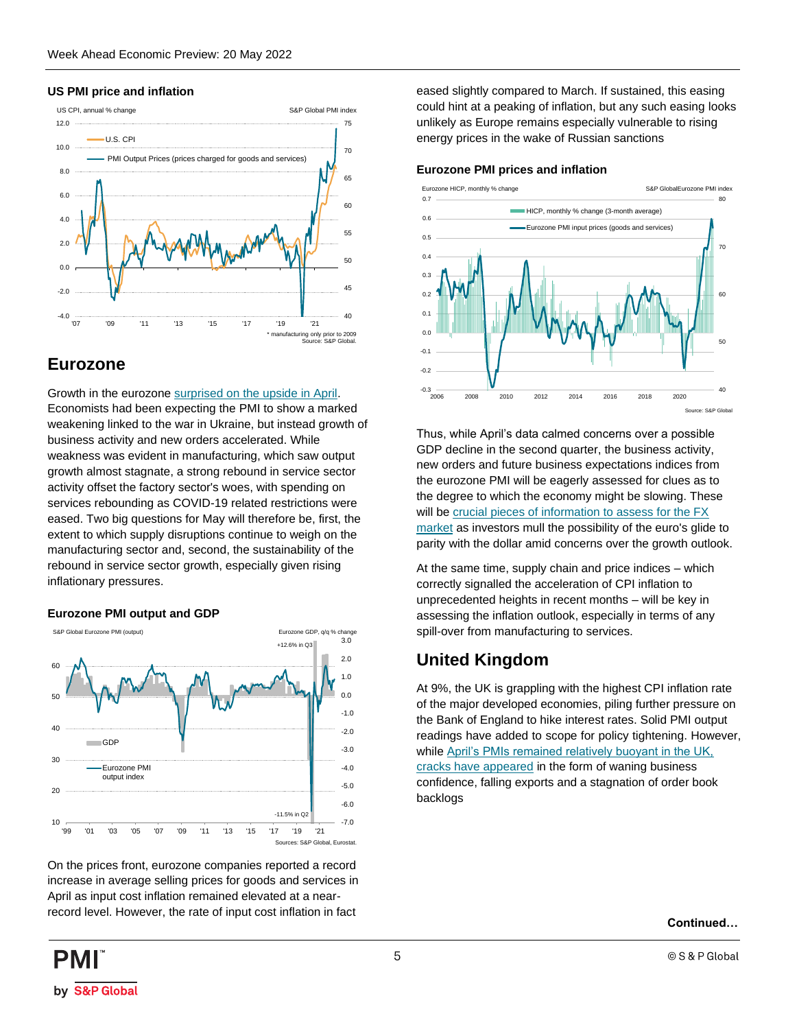#### **US PMI price and inflation**



## **Eurozone**

Growth in the eurozone [surprised on the upside in April.](https://ihsmarkit.com/research-analysis/eurozone-growth-accelerates-as-reviving-services-demand-offsets-near-stalling-of-manufacturing-Apr22.html) Economists had been expecting the PMI to show a marked weakening linked to the war in Ukraine, but instead growth of business activity and new orders accelerated. While weakness was evident in manufacturing, which saw output growth almost stagnate, a strong rebound in service sector activity offset the factory sector's woes, with spending on services rebounding as COVID-19 related restrictions were eased. Two big questions for May will therefore be, first, the extent to which supply disruptions continue to weigh on the manufacturing sector and, second, the sustainability of the rebound in service sector growth, especially given rising inflationary pressures.

#### **Eurozone PMI output and GDP**



On the prices front, eurozone companies reported a record increase in average selling prices for goods and services in April as input cost inflation remained elevated at a nearrecord level. However, the rate of input cost inflation in fact

eased slightly compared to March. If sustained, this easing could hint at a peaking of inflation, but any such easing looks unlikely as Europe remains especially vulnerable to rising energy prices in the wake of Russian sanctions

#### **Eurozone PMI prices and inflation**



Thus, while April's data calmed concerns over a possible GDP decline in the second quarter, the business activity, new orders and future business expectations indices from the eurozone PMI will be eagerly assessed for clues as to the degree to which the economy might be slowing. These will be [crucial pieces of information to assess for the FX](https://ihsmarkit.com/research-analysis/estimating-shortterm-fx-equilibria-using-pmis-Oct21.html?)  [market](https://ihsmarkit.com/research-analysis/estimating-shortterm-fx-equilibria-using-pmis-Oct21.html?) as investors mull the possibility of the euro's glide to parity with the dollar amid concerns over the growth outlook.

At the same time, supply chain and price indices – which correctly signalled the acceleration of CPI inflation to unprecedented heights in recent months – will be key in assessing the inflation outlook, especially in terms of any spill-over from manufacturing to services.

## **United Kingdom**

At 9%, the UK is grappling with the highest CPI inflation rate of the major developed economies, piling further pressure on the Bank of England to hike interest rates. Solid PMI output readings have added to scope for policy tightening. However, whil[e April's PMIs remained relatively buoyant in the UK,](https://ihsmarkit.com/research-analysis/uk-economic-growth-slows-in-april-as-outlook-darkens-and-inflation-pressures-mount-Apr22.html)  [cracks have appeared](https://ihsmarkit.com/research-analysis/uk-economic-growth-slows-in-april-as-outlook-darkens-and-inflation-pressures-mount-Apr22.html) in the form of waning business confidence, falling exports and a stagnation of order book backlogs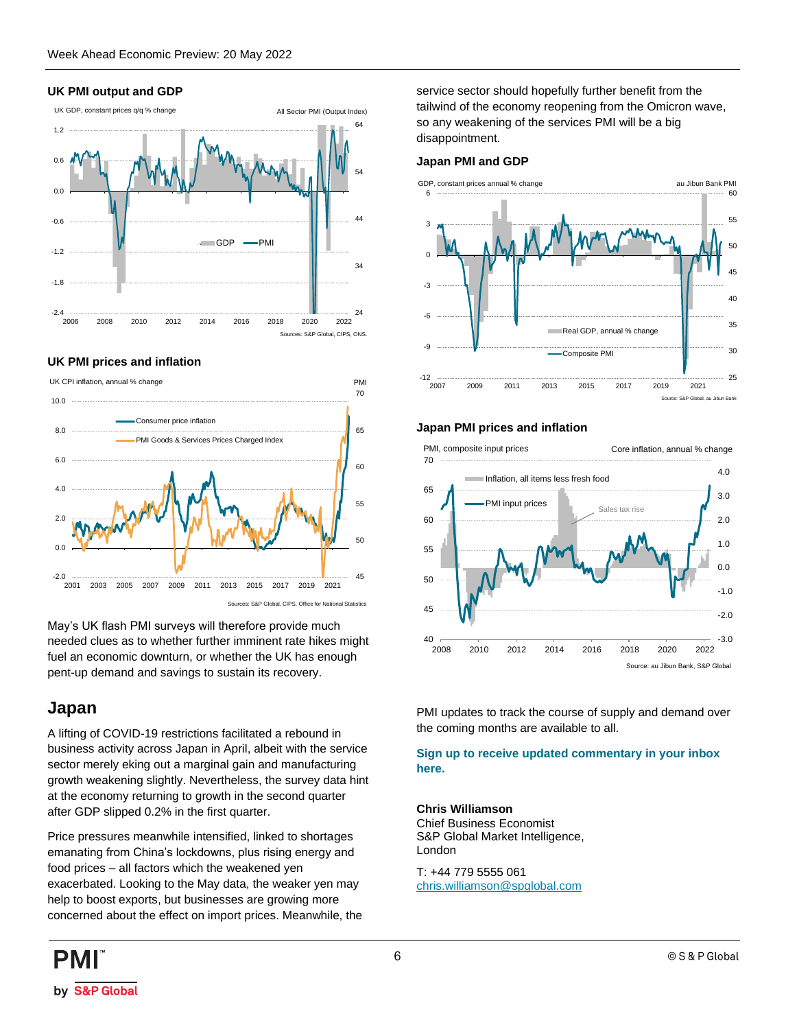#### **UK PMI output and GDP**



#### **UK PMI prices and inflation**



May's UK flash PMI surveys will therefore provide much needed clues as to whether further imminent rate hikes might fuel an economic downturn, or whether the UK has enough pent-up demand and savings to sustain its recovery.

## **Japan**

A lifting of COVID-19 restrictions facilitated a rebound in business activity across Japan in April, albeit with the service sector merely eking out a marginal gain and manufacturing growth weakening slightly. Nevertheless, the survey data hint at the economy returning to growth in the second quarter after GDP slipped 0.2% in the first quarter.

Price pressures meanwhile intensified, linked to shortages emanating from China's lockdowns, plus rising energy and food prices – all factors which the weakened yen exacerbated. Looking to the May data, the weaker yen may help to boost exports, but businesses are growing more concerned about the effect on import prices. Meanwhile, the service sector should hopefully further benefit from the tailwind of the economy reopening from the Omicron wave, so any weakening of the services PMI will be a big disappointment.

#### **Japan PMI and GDP**



#### **Japan PMI prices and inflation**



PMI updates to track the course of supply and demand over the coming months are available to all.

#### **[Sign up to receive updated commentary in your inbox](https://ihsmarkit.com/Info/0220/subscription-pmi-blog.html)  [here.](https://ihsmarkit.com/Info/0220/subscription-pmi-blog.html)**

#### **Chris Williamson**

Chief Business Economist S&P Global Market Intelligence, London

T: +44 779 5555 061 [chris.williamson@spglobal.com](mailto:chris.williamson@spglobal.com)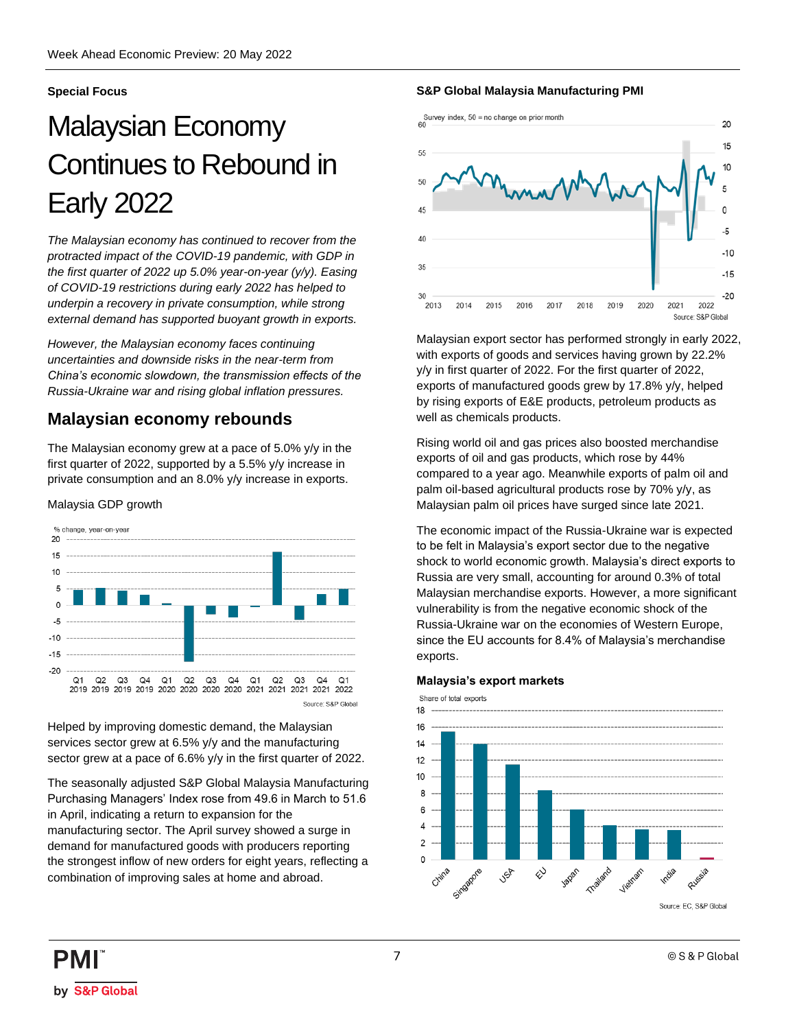#### <span id="page-6-0"></span>**Special Focus**

## Malaysian Economy Continues to Rebound in Early 2022

*The Malaysian economy has continued to recover from the protracted impact of the COVID-19 pandemic, with GDP in the first quarter of 2022 up 5.0% year-on-year (y/y). Easing of COVID-19 restrictions during early 2022 has helped to underpin a recovery in private consumption, while strong external demand has supported buoyant growth in exports.*

*However, the Malaysian economy faces continuing uncertainties and downside risks in the near-term from China's economic slowdown, the transmission effects of the Russia-Ukraine war and rising global inflation pressures.* 

## **Malaysian economy rebounds**

The Malaysian economy grew at a pace of 5.0% y/y in the first quarter of 2022, supported by a 5.5% y/y increase in private consumption and an 8.0% y/y increase in exports.

#### Malaysia GDP growth



Helped by improving domestic demand, the Malaysian services sector grew at 6.5% y/y and the manufacturing sector grew at a pace of 6.6% y/y in the first quarter of 2022.

The seasonally adjusted S&P Global Malaysia Manufacturing Purchasing Managers' Index rose from 49.6 in March to 51.6 in April, indicating a return to expansion for the manufacturing sector. The April survey showed a surge in demand for manufactured goods with producers reporting the strongest inflow of new orders for eight years, reflecting a combination of improving sales at home and abroad.

#### **S&P Global Malaysia Manufacturing PMI**



Malaysian export sector has performed strongly in early 2022, with exports of goods and services having grown by 22.2% y/y in first quarter of 2022. For the first quarter of 2022, exports of manufactured goods grew by 17.8% y/y, helped by rising exports of E&E products, petroleum products as well as chemicals products.

Rising world oil and gas prices also boosted merchandise exports of oil and gas products, which rose by 44% compared to a year ago. Meanwhile exports of palm oil and palm oil-based agricultural products rose by 70% y/y, as Malaysian palm oil prices have surged since late 2021.

The economic impact of the Russia-Ukraine war is expected to be felt in Malaysia's export sector due to the negative shock to world economic growth. Malaysia's direct exports to Russia are very small, accounting for around 0.3% of total Malaysian merchandise exports. However, a more significant vulnerability is from the negative economic shock of the Russia-Ukraine war on the economies of Western Europe, since the EU accounts for 8.4% of Malaysia's merchandise exports.

#### **Malaysia's export markets**

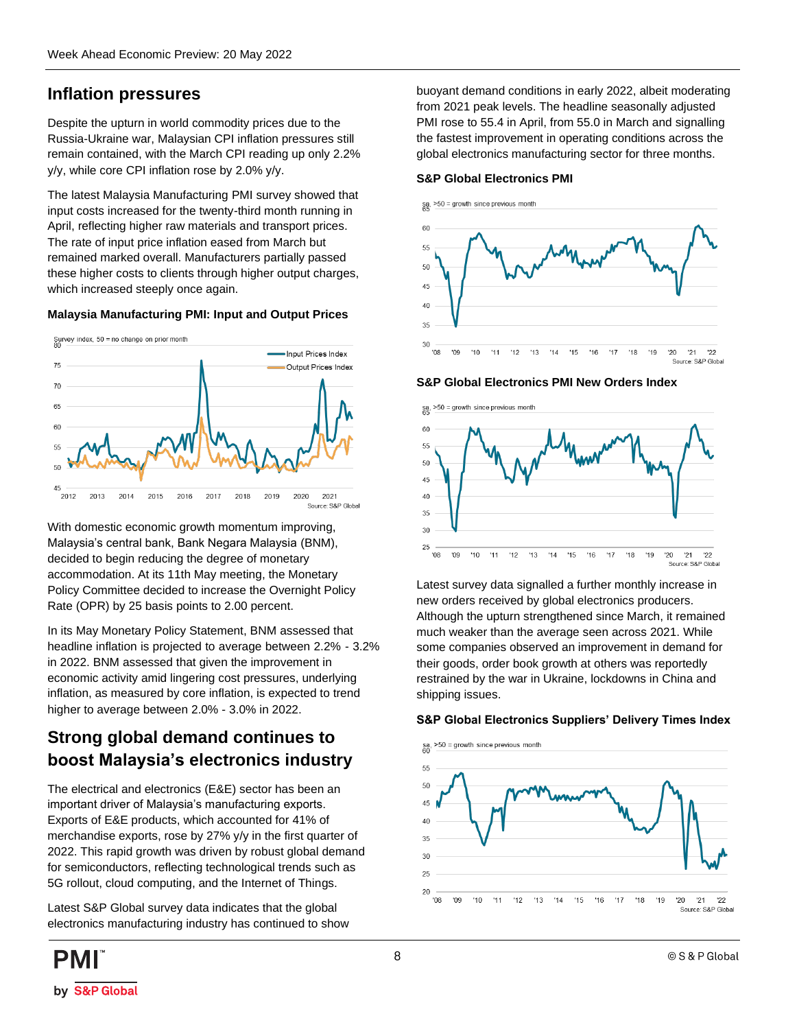## **Inflation pressures**

Despite the upturn in world commodity prices due to the Russia-Ukraine war, Malaysian CPI inflation pressures still remain contained, with the March CPI reading up only 2.2% y/y, while core CPI inflation rose by 2.0% y/y.

The latest Malaysia Manufacturing PMI survey showed that input costs increased for the twenty-third month running in April, reflecting higher raw materials and transport prices. The rate of input price inflation eased from March but remained marked overall. Manufacturers partially passed these higher costs to clients through higher output charges, which increased steeply once again.

#### **Malaysia Manufacturing PMI: Input and Output Prices**



With domestic economic growth momentum improving, Malaysia's central bank, Bank Negara Malaysia (BNM), decided to begin reducing the degree of monetary accommodation. At its 11th May meeting, the Monetary Policy Committee decided to increase the Overnight Policy Rate (OPR) by 25 basis points to 2.00 percent.

In its May Monetary Policy Statement, BNM assessed that headline inflation is projected to average between 2.2% - 3.2% in 2022. BNM assessed that given the improvement in economic activity amid lingering cost pressures, underlying inflation, as measured by core inflation, is expected to trend higher to average between 2.0% - 3.0% in 2022.

## **Strong global demand continues to boost Malaysia's electronics industry**

The electrical and electronics (E&E) sector has been an important driver of Malaysia's manufacturing exports. Exports of E&E products, which accounted for 41% of merchandise exports, rose by 27% y/y in the first quarter of 2022. This rapid growth was driven by robust global demand for semiconductors, reflecting technological trends such as 5G rollout, cloud computing, and the Internet of Things.

Latest S&P Global survey data indicates that the global electronics manufacturing industry has continued to show buoyant demand conditions in early 2022, albeit moderating from 2021 peak levels. The headline seasonally adjusted PMI rose to 55.4 in April, from 55.0 in March and signalling the fastest improvement in operating conditions across the global electronics manufacturing sector for three months.





**S&P Global Electronics PMI New Orders Index**



Latest survey data signalled a further monthly increase in new orders received by global electronics producers. Although the upturn strengthened since March, it remained much weaker than the average seen across 2021. While some companies observed an improvement in demand for their goods, order book growth at others was reportedly restrained by the war in Ukraine, lockdowns in China and shipping issues.

#### **S&P Global Electronics Suppliers' Delivery Times Index**

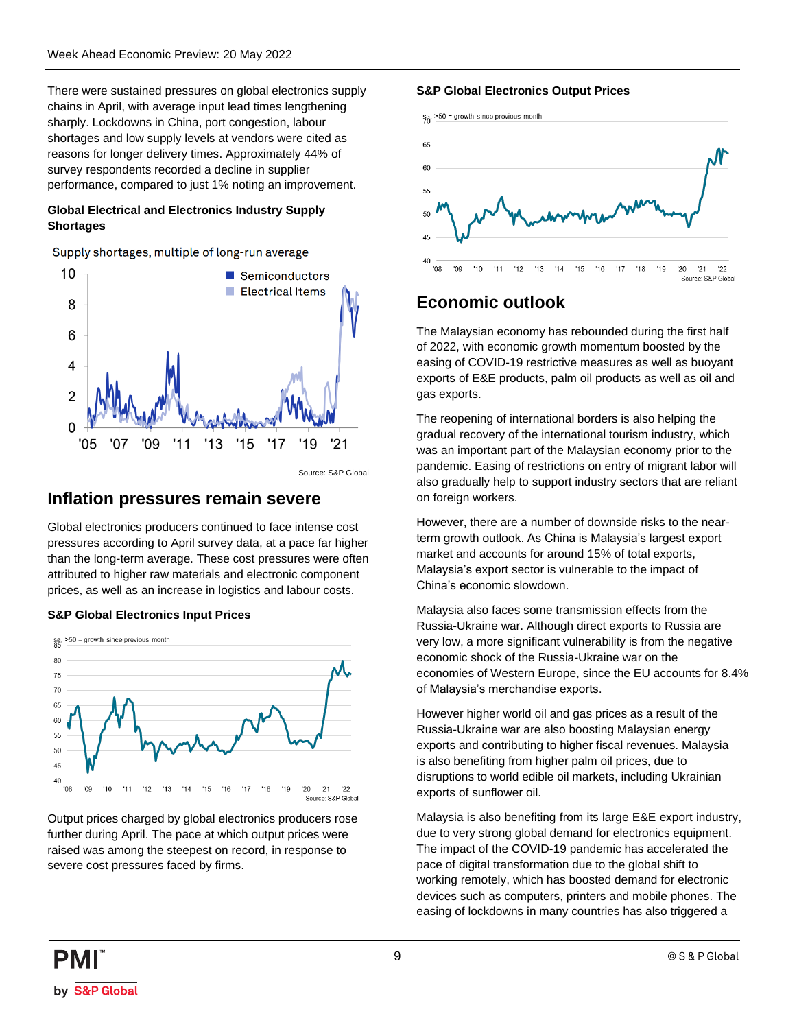There were sustained pressures on global electronics supply chains in April, with average input lead times lengthening sharply. Lockdowns in China, port congestion, labour shortages and low supply levels at vendors were cited as reasons for longer delivery times. Approximately 44% of survey respondents recorded a decline in supplier performance, compared to just 1% noting an improvement.

#### **Global Electrical and Electronics Industry Supply Shortages**

Supply shortages, multiple of long-run average



Source: S&P Global

### **Inflation pressures remain severe**

Global electronics producers continued to face intense cost pressures according to April survey data, at a pace far higher than the long-term average. These cost pressures were often attributed to higher raw materials and electronic component prices, as well as an increase in logistics and labour costs.

#### **S&P Global Electronics Input Prices**



Output prices charged by global electronics producers rose further during April. The pace at which output prices were raised was among the steepest on record, in response to severe cost pressures faced by firms.

#### **S&P Global Electronics Output Prices**



## **Economic outlook**

The Malaysian economy has rebounded during the first half of 2022, with economic growth momentum boosted by the easing of COVID-19 restrictive measures as well as buoyant exports of E&E products, palm oil products as well as oil and gas exports.

The reopening of international borders is also helping the gradual recovery of the international tourism industry, which was an important part of the Malaysian economy prior to the pandemic. Easing of restrictions on entry of migrant labor will also gradually help to support industry sectors that are reliant on foreign workers.

However, there are a number of downside risks to the nearterm growth outlook. As China is Malaysia's largest export market and accounts for around 15% of total exports, Malaysia's export sector is vulnerable to the impact of China's economic slowdown.

Malaysia also faces some transmission effects from the Russia-Ukraine war. Although direct exports to Russia are very low, a more significant vulnerability is from the negative economic shock of the Russia-Ukraine war on the economies of Western Europe, since the EU accounts for 8.4% of Malaysia's merchandise exports.

However higher world oil and gas prices as a result of the Russia-Ukraine war are also boosting Malaysian energy exports and contributing to higher fiscal revenues. Malaysia is also benefiting from higher palm oil prices, due to disruptions to world edible oil markets, including Ukrainian exports of sunflower oil.

Malaysia is also benefiting from its large E&E export industry, due to very strong global demand for electronics equipment. The impact of the COVID-19 pandemic has accelerated the pace of digital transformation due to the global shift to working remotely, which has boosted demand for electronic devices such as computers, printers and mobile phones. The easing of lockdowns in many countries has also triggered a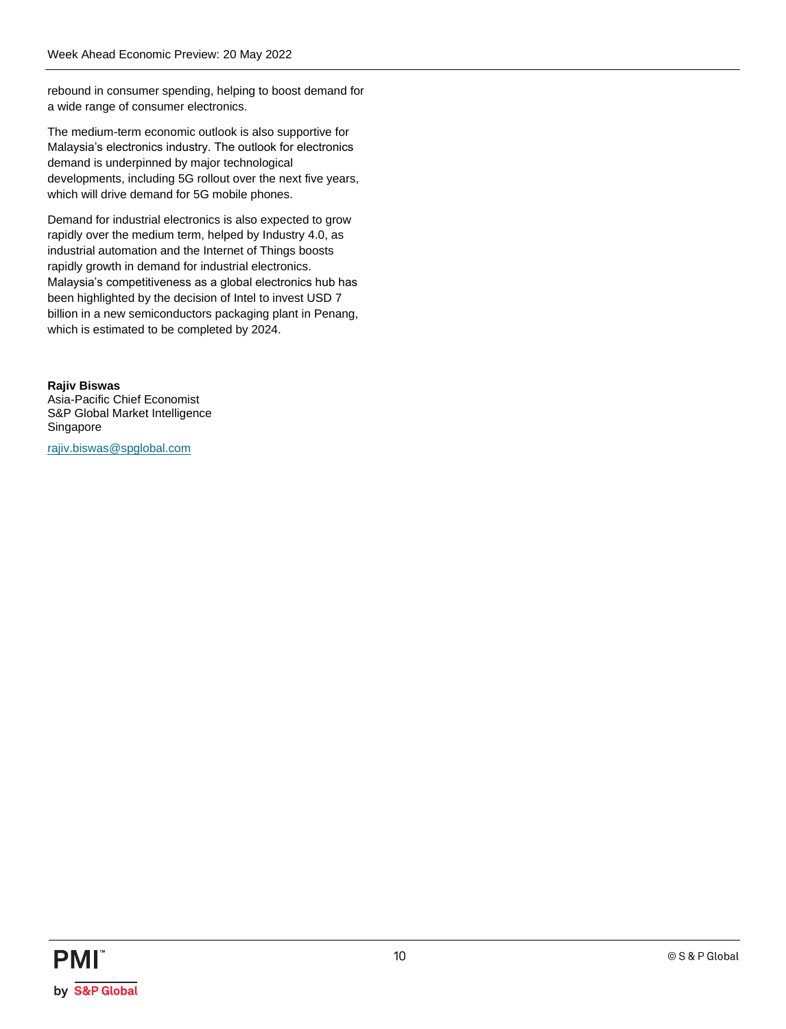rebound in consumer spending, helping to boost demand for a wide range of consumer electronics.

The medium-term economic outlook is also supportive for Malaysia's electronics industry. The outlook for electronics demand is underpinned by major technological developments, including 5G rollout over the next five years, which will drive demand for 5G mobile phones.

Demand for industrial electronics is also expected to grow rapidly over the medium term, helped by Industry 4.0, as industrial automation and the Internet of Things boosts rapidly growth in demand for industrial electronics. Malaysia's competitiveness as a global electronics hub has been highlighted by the decision of Intel to invest USD 7 billion in a new semiconductors packaging plant in Penang, which is estimated to be completed by 2024.

**Rajiv Biswas** Asia-Pacific Chief Economist S&P Global Market Intelligence Singapore

[rajiv.biswas@spglobal.com](mailto:rajiv.biswas@spglobal.com)